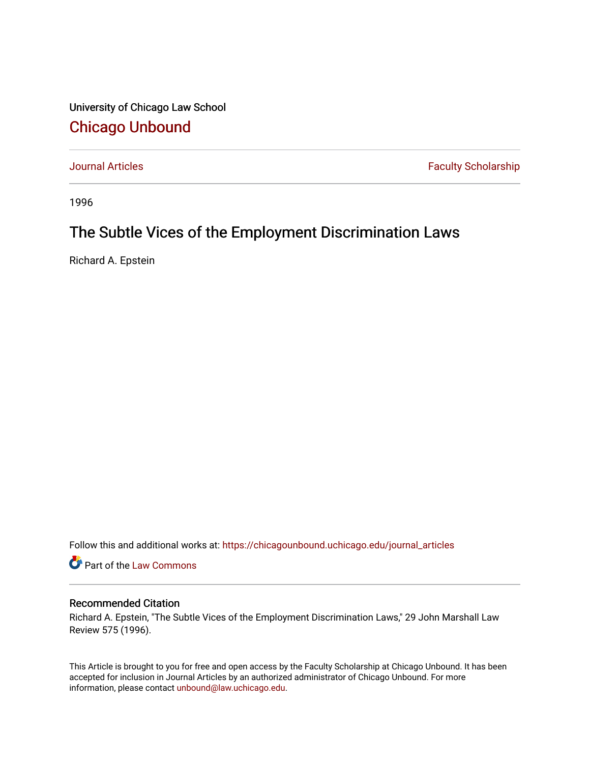University of Chicago Law School [Chicago Unbound](https://chicagounbound.uchicago.edu/)

[Journal Articles](https://chicagounbound.uchicago.edu/journal_articles) **Faculty Scholarship Journal Articles** 

1996

# The Subtle Vices of the Employment Discrimination Laws

Richard A. Epstein

Follow this and additional works at: [https://chicagounbound.uchicago.edu/journal\\_articles](https://chicagounbound.uchicago.edu/journal_articles?utm_source=chicagounbound.uchicago.edu%2Fjournal_articles%2F1210&utm_medium=PDF&utm_campaign=PDFCoverPages) 

Part of the [Law Commons](http://network.bepress.com/hgg/discipline/578?utm_source=chicagounbound.uchicago.edu%2Fjournal_articles%2F1210&utm_medium=PDF&utm_campaign=PDFCoverPages)

#### Recommended Citation

Richard A. Epstein, "The Subtle Vices of the Employment Discrimination Laws," 29 John Marshall Law Review 575 (1996).

This Article is brought to you for free and open access by the Faculty Scholarship at Chicago Unbound. It has been accepted for inclusion in Journal Articles by an authorized administrator of Chicago Unbound. For more information, please contact [unbound@law.uchicago.edu](mailto:unbound@law.uchicago.edu).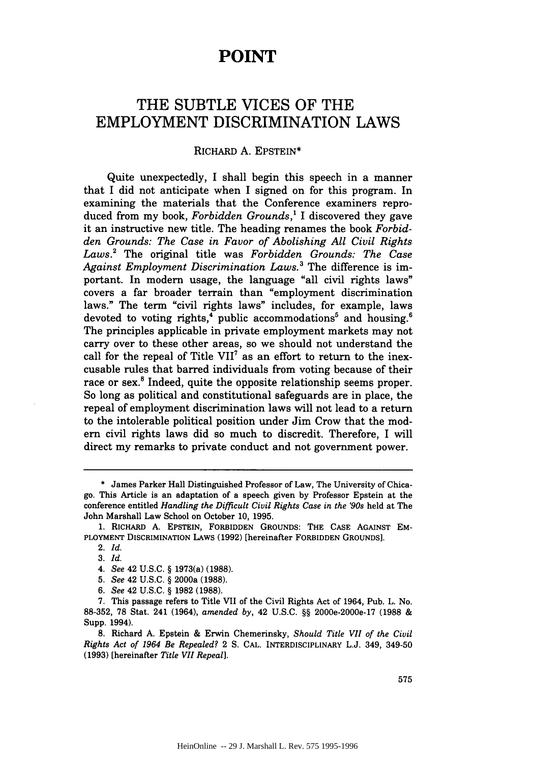## **POINT**

## THE **SUBTLE** VICES OF THE EMPLOYMENT DISCRIMINATION LAWS

#### RICHARD **A.** EPSTEIN\*

Quite unexpectedly, **I** shall begin this speech in a manner that **I** did not anticipate when I signed on for this program. In examining the materials that the Conference examiners reproduced from my book, *Forbidden Grounds,'* I discovered they gave it an instructive new title. The heading renames the book *Forbidden Grounds: The Case in Favor of Abolishing All Civil Rights Laws.2* The original title was *Forbidden Grounds: The Case Against Employment Discrimination Laws.3* The difference is important. In modern usage, the language "all civil rights laws" covers a far broader terrain than "employment discrimination laws." The term "civil rights laws" includes, for example, laws devoted to voting rights,<sup>4</sup> public accommodations<sup>5</sup> and housing.<sup>6</sup> The principles applicable in private employment markets may not carry over to these other areas, so we should not understand the call for the repeal of Title VII<sup>7</sup> as an effort to return to the inexcusable rules that barred individuals from voting because of their race or sex.<sup>8</sup> Indeed, quite the opposite relationship seems proper. So long as political and constitutional safeguards are in place, the repeal of employment discrimination laws will not lead to a return to the intolerable political position under Jim Crow that the modem civil rights laws did so much to discredit. Therefore, I will direct my remarks to private conduct and not government power.

<sup>\*</sup> James Parker Hall Distinguished Professor of Law, The University of Chicago. This Article is an adaptation of a speech given by Professor Epstein at the conference entitled *Handling the Difficult Civil Rights Case in the '90s* held at The John Marshall Law School on October 10, 1995.

**<sup>1.</sup>** RICHARD **A.** EPSTEIN, FORBIDDEN **GROUNDS: THE CASE AGAINST** EM-PLOYMENT **DISCRIMINATION** LAws **(1992)** [hereinafter FORBIDDEN **GROUNDS].**

<sup>2.</sup> *Id.*

<sup>3.</sup> *Id.*

*<sup>4.</sup> See* 42 U.S.C. § 1973(a) (1988).

<sup>5.</sup> *See* 42 U.S.C. § 2000a (1988).

*<sup>6.</sup> See* 42 U.S.C. § 1982 (1988).

<sup>7.</sup> This passage refers to Title VII of the Civil Rights Act of 1964, Pub. L. No. 88-352, 78 Stat. 241 (1964), *amended by,* 42 U.S.C. §§ 2000e-2000e-17 **(1988** & Supp. 1994).

<sup>8.</sup> Richard A. Epstein & Erwin Chemerinsky, *Should Title VII of the Civil Rights Act of 1964 Be Repealed?* 2 **S.** CAL. INTERDISCIPLINARY L.J. 349, 349-50 (1993) [hereinafter *Title VII Repeal].*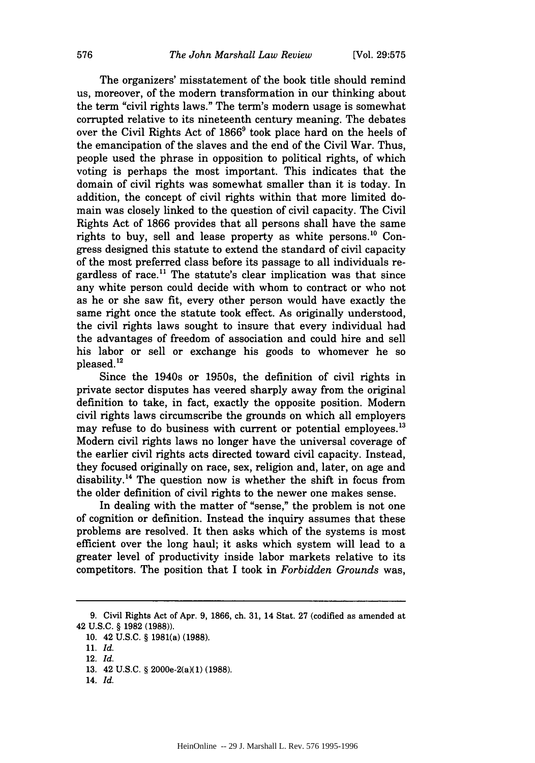The organizers' misstatement of the book title should remind us, moreover, of the modern transformation in our thinking about the term "civil rights laws." The term's modem usage is somewhat corrupted relative to its nineteenth century meaning. The debates over the Civil Rights Act of  $1866<sup>9</sup>$  took place hard on the heels of the emancipation of the slaves and the end of the Civil War. Thus, people used the phrase in opposition to political rights, of which voting is perhaps the most important. This indicates that the domain of civil rights was somewhat smaller than it is today. In addition, the concept of civil rights within that more limited domain was closely linked to the question of civil capacity. The Civil Rights Act of 1866 provides that all persons shall have the same rights to buy, sell and lease property as white persons.<sup>10</sup> Congress designed this statute to extend the standard of civil capacity of the most preferred class before its passage to all individuals regardless of race.<sup>11</sup> The statute's clear implication was that since any white person could decide with whom to contract or who not as he or she saw fit, every other person would have exactly the same right once the statute took effect. As originally understood, the civil rights laws sought to insure that every individual had the advantages of freedom of association and could hire and sell his labor or sell or exchange his goods to whomever he so pleased. **"**

Since the 1940s or 1950s, the definition of civil rights in private sector disputes has veered sharply away from the original definition to take, in fact, exactly the opposite position. Modern civil rights laws circumscribe the grounds on which all employers may refuse to do business with current or potential employees.<sup>13</sup> Modem civil rights laws no longer have the universal coverage of the earlier civil rights acts directed toward civil capacity. Instead, they focused originally on race, sex, religion and, later, on age and disability.<sup>14</sup> The question now is whether the shift in focus from the older definition of civil rights to the newer one makes sense.

In dealing with the matter of "sense," the problem is not one of cognition or definition. Instead the inquiry assumes that these problems are resolved. It then asks which of the systems is most efficient over the long haul; it asks which system will lead to a greater level of productivity inside labor markets relative to its competitors. The position that I took in *Forbidden Grounds* was,

14. *Id.*

<sup>9.</sup> Civil Rights Act of Apr. 9, 1866, ch. 31, 14 Stat. 27 (codified as amended at 42 U.S.C. § 1982 (1988)).

<sup>10. 42</sup> U.S.C. § 1981(a) (1988).

<sup>11.</sup> *Id.*

<sup>12.</sup> *Id.*

<sup>13. 42</sup> U.S.C. § 2000e-2(a)(1) (1988).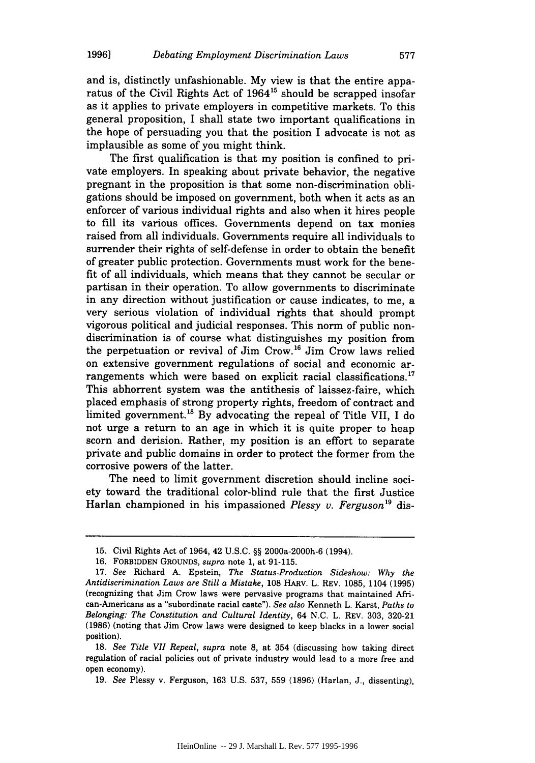**19961**

and is, distinctly unfashionable. My view is that the entire apparatus of the Civil Rights Act of 1964<sup>15</sup> should be scrapped insofar as it applies to private employers in competitive markets. To this general proposition, I shall state two important qualifications in the hope of persuading you that the position I advocate is not as implausible as some of you might think.

The first qualification is that my position is confined to private employers. In speaking about private behavior, the negative pregnant in the proposition is that some non-discrimination obligations should be imposed on government, both when it acts as an enforcer of various individual rights and also when it hires people to fill its various offices. Governments depend on tax monies raised from all individuals. Governments require all individuals to surrender their rights of self-defense in order to obtain the benefit of greater public protection. Governments must work for the benefit of all individuals, which means that they cannot be secular or partisan in their operation. To allow governments to discriminate in any direction without justification or cause indicates, to me, a very serious violation of individual rights that should prompt vigorous political and judicial responses. This norm of public nondiscrimination is of course what distinguishes my position from the perpetuation or revival of Jim Crow. 16 Jim Crow laws relied on extensive government regulations of social and economic arrangements which were based on explicit racial classifications.<sup>17</sup> This abhorrent system was the antithesis of laissez-faire, which placed emphasis of strong property rights, freedom of contract and limited government.<sup>18</sup> By advocating the repeal of Title VII, I do not urge a return to an age in which it is quite proper to heap scorn and derision. Rather, my position is an effort to separate private and public domains in order to protect the former from the corrosive powers of the latter.

The need to limit government discretion should incline society toward the traditional color-blind rule that the first Justice Harlan championed in his impassioned *Plessy v. Ferguson*<sup>19</sup> dis-

<sup>15.</sup> Civil Rights Act of 1964, 42 U.S.C. §§ 2000a-2000h-6 (1994).

<sup>16.</sup> FORBIDDEN GROUNDS, *supra* note 1, at 91-115.

<sup>17.</sup> *See* Richard A. Epstein, *The Status-Production Sideshow: Why the Antidiscrimination Laws are Still a Mistake,* 108 HARV. L. REV. 1085, 1104 (1995) (recognizing that Jim Crow laws were pervasive programs that maintained African-Americans as a "subordinate racial caste"). *See also* Kenneth L. Karst, *Paths to Belonging: The Constitution and Cultural Identity,* 64 N.C. L. REV. 303, 320-21 (1986) (noting that Jim Crow laws were designed to keep blacks in a lower social position).

<sup>18.</sup> *See Title VII Repeal, supra* note 8, at 354 (discussing how taking direct regulation of racial policies out of private industry would lead to a more free and open economy).

<sup>19.</sup> *See* Plessy v. Ferguson, 163 U.S. 537, 559 (1896) (Harlan, J., dissenting),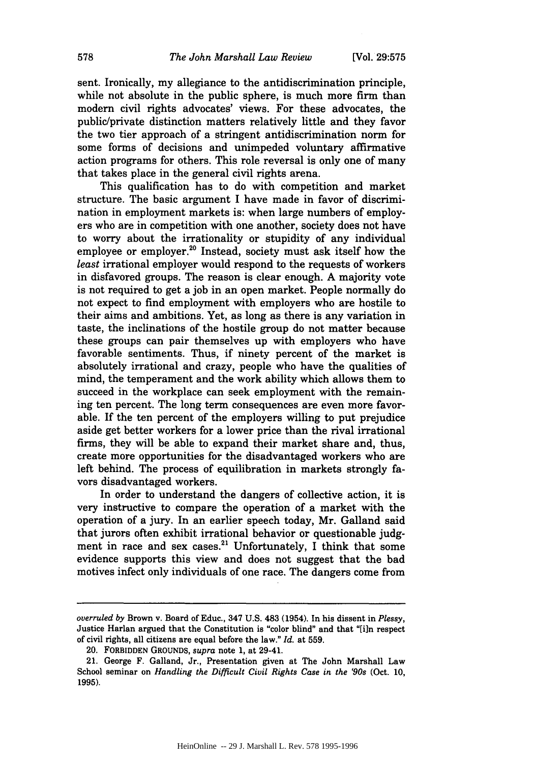sent. Ironically, my allegiance to the antidiscrimination principle, while not absolute in the public sphere, is much more firm than modern civil rights advocates' views. For these advocates, the public/private distinction matters relatively little and they favor the two tier approach of a stringent antidiscrimination norm for some forms of decisions and unimpeded voluntary affirmative action programs for others. This role reversal is only one of many that takes place in the general civil rights arena.

This qualification has to do with competition and market structure. The basic argument I have made in favor of discrimination in employment markets is: when large numbers of employers who are in competition with one another, society does not have to worry about the irrationality or stupidity of any individual employee or employer.<sup>20</sup> Instead, society must ask itself how the *least* irrational employer would respond to the requests of workers in disfavored groups. The reason is clear enough. A majority vote is not required to get a job in an open market. People normally do not expect to find employment with employers who are hostile to their aims and ambitions. Yet, as long as there is any variation in taste, the inclinations of the hostile group do not matter because these groups can pair themselves up with employers who have favorable sentiments. Thus, if ninety percent of the market is absolutely irrational and crazy, people who have the qualities of mind, the temperament and the work ability which allows them to succeed in the workplace can seek employment with the remaining ten percent. The long term consequences are even more favorable. If the ten percent of the employers willing to put prejudice aside get better workers for a lower price than the rival irrational firms, they will be able to expand their market share and, thus, create more opportunities for the disadvantaged workers who are left behind. The process of equilibration in markets strongly favors disadvantaged workers.

In order to understand the dangers of collective action, it is very instructive to compare the operation of a market with the operation of a jury. In an earlier speech today, Mr. Galland said that jurors often exhibit irrational behavior or questionable judgment in race and sex cases.<sup>21</sup> Unfortunately, I think that some evidence supports this view and does not suggest that the bad motives infect only individuals of one race. The dangers come from

*overruled by* Brown v. Board of Educ., 347 U.S. 483 (1954). In his dissent in *Plessy,* Justice Harlan argued that the Constitution is "color blind" and that "[i]n respect of civil rights, all citizens are equal before the law." *Id.* at 559.

<sup>20.</sup> FORBIDDEN GROUNDS, *supra* note 1, at 29-41.

<sup>21.</sup> George F. Galland, Jr., Presentation given at The John Marshall Law School seminar on *Handling the Difficult Civil Rights Case in the '90s* (Oct. 10, 1995).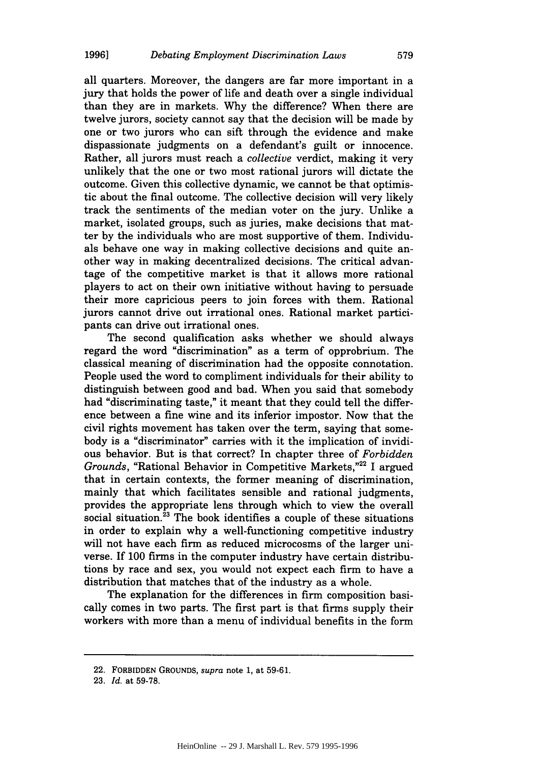all quarters. Moreover, the dangers are far more important in a jury that holds the power of life and death over a single individual than they are in markets. Why the difference? When there are twelve jurors, society cannot say that the decision will be made by one or two jurors who can sift through the evidence and make dispassionate judgments on a defendant's guilt or innocence. Rather, all jurors must reach a *collective* verdict, making it very unlikely that the one or two most rational jurors will dictate the outcome. Given this collective dynamic, we cannot be that optimistic about the final outcome. The collective decision will very likely track the sentiments of the median voter on the jury. Unlike a market, isolated groups, such as juries, make decisions that matter by the individuals who are most supportive of them. Individuals behave one way in making collective decisions and quite another way in making decentralized decisions. The critical advantage of the competitive market is that it allows more rational players to act on their own initiative without having to persuade their more capricious peers to join forces with them. Rational jurors cannot drive out irrational ones. Rational market participants can drive out irrational ones.

The second qualification asks whether we should always regard the word "discrimination" as a term of opprobrium. The classical meaning of discrimination had the opposite connotation. People used the word to compliment individuals for their ability to distinguish between good and bad. When you said that somebody had "discriminating taste," it meant that they could tell the difference between a fine wine and its inferior impostor. Now that the civil rights movement has taken over the term, saying that somebody is a "discriminator" carries with it the implication of invidious behavior. But is that correct? In chapter three of *Forbidden Grounds,* "Rational Behavior in Competitive Markets,"<sup>22</sup> I argued that in certain contexts, the former meaning of discrimination, mainly that which facilitates sensible and rational judgments, provides the appropriate lens through which to view the overall social situation.<sup>23</sup> The book identifies a couple of these situations in order to explain why a well-functioning competitive industry will not have each firm as reduced microcosms of the larger universe. If 100 firms in the computer industry have certain distributions by race and sex, you would not expect each firm to have a distribution that matches that of the industry as a whole.

The explanation for the differences in firm composition basically comes in two parts. The first part is that firms supply their workers with more than a menu of individual benefits in the form

<sup>22.</sup> FORBIDDEN GROUNDS, supra note 1, at 59-61.

<sup>23.</sup> *Id.* at 59-78.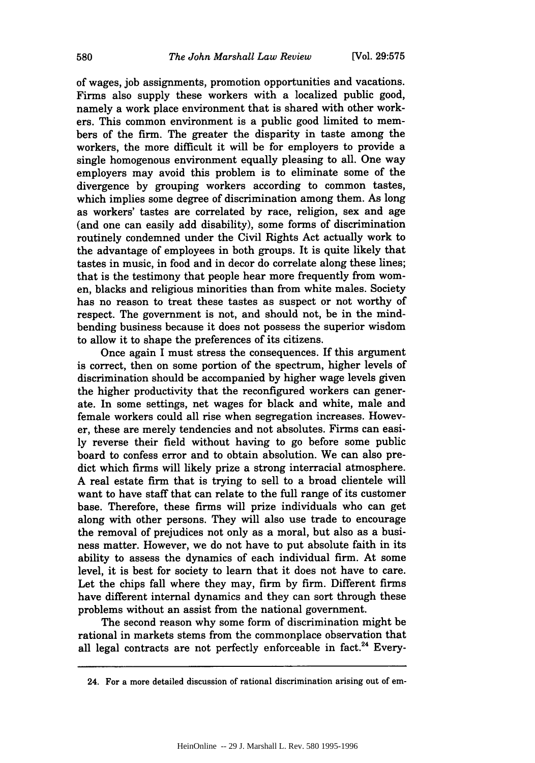of wages, job assignments, promotion opportunities and vacations. Firms also supply these workers with a localized public good, namely a work place environment that is shared with other workers. This common environment is a public good limited to members of the firm. The greater the disparity in taste among the workers, the more difficult it will be for employers to provide a single homogenous environment equally pleasing to all. One way employers may avoid this problem is to eliminate some of the divergence by grouping workers according to common tastes, which implies some degree of discrimination among them. As long as workers' tastes are correlated by race, religion, sex and age (and one can easily add disability), some forms of discrimination routinely condemned under the Civil Rights Act actually work to the advantage of employees in both groups. It is quite likely that tastes in music, in food and in decor do correlate along these lines; that is the testimony that people hear more frequently from women, blacks and religious minorities than from white males. Society has no reason to treat these tastes as suspect or not worthy of respect. The government is not, and should not, be in the mindbending business because it does not possess the superior wisdom to allow it to shape the preferences of its citizens.

Once again I must stress the consequences. If this argument is correct, then on some portion of the spectrum, higher levels of discrimination should be accompanied by higher wage levels given the higher productivity that the reconfigured workers can generate. In some settings, net wages for black and white, male and female workers could all rise when segregation increases. However, these are merely tendencies and not absolutes. Firms can easily reverse their field without having to go before some public board to confess error and to obtain absolution. We can also predict which firms will likely prize a strong interracial atmosphere. A real estate firm that is trying to sell to a broad clientele will want to have staff that can relate to the full range of its customer base. Therefore, these firms will prize individuals who can get along with other persons. They will also use trade to encourage the removal of prejudices not only as a moral, but also as a business matter. However, we do not have to put absolute faith in its ability to assess the dynamics of each individual firm. At some level, it is best for society to learn that it does not have to care. Let the chips fall where they may, firm by firm. Different firms have different internal dynamics and they can sort through these problems without an assist from the national government.

The second reason why some form of discrimination might be rational in markets stems from the commonplace observation that all legal contracts are not perfectly enforceable in fact.<sup>24</sup> Every-

<sup>24.</sup> For a more detailed discussion of rational discrimination arising out of em-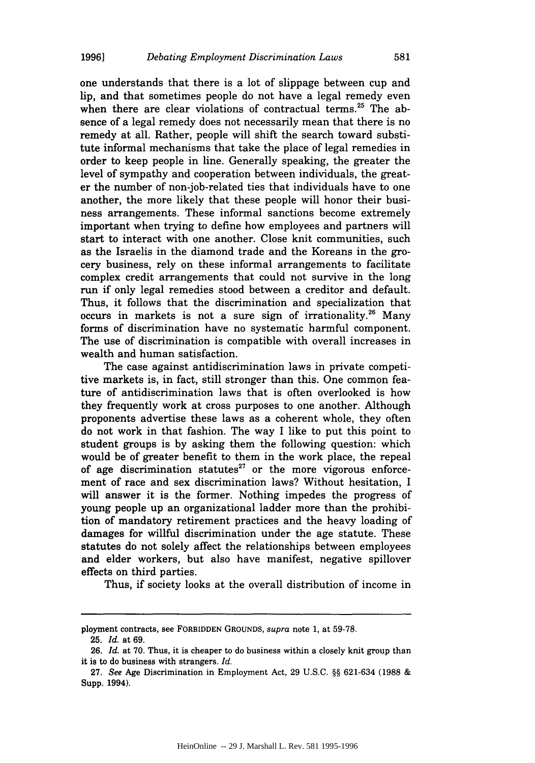one understands that there is a lot of slippage between cup and lip, and that sometimes people do not have a legal remedy even when there are clear violations of contractual terms.<sup>25</sup> The absence of a legal remedy does not necessarily mean that there is no remedy at all. Rather, people will shift the search toward substitute informal mechanisms that take the place of legal remedies in order to keep people in line. Generally speaking, the greater the level of sympathy and cooperation between individuals, the greater the number of non-job-related ties that individuals have to one another, the more likely that these people will honor their business arrangements. These informal sanctions become extremely important when trying to define how employees and partners will start to interact with one another. Close knit communities, such as the Israelis in the diamond trade and the Koreans in the grocery business, rely on these informal arrangements to facilitate complex credit arrangements that could not survive in the long run if only legal remedies stood between a creditor and default. Thus, it follows that the discrimination and specialization that occurs in markets is not a sure sign of irrationality.<sup>26</sup> Many forms of discrimination have no systematic harmful component. The use of discrimination is compatible with overall increases in wealth and human satisfaction.

The case against antidiscrimination laws in private competitive markets is, in fact, still stronger than this. One common feature of antidiscrimination laws that is often overlooked is how they frequently work at cross purposes to one another. Although proponents advertise these laws as a coherent whole, they often do not work in that fashion. The way I like to put this point to student groups is by asking them the following question: which would be of greater benefit to them in the work place, the repeal of age discrimination statutes $^{27}$  or the more vigorous enforcement of race and sex discrimination laws? Without hesitation, I will answer it is the former. Nothing impedes the progress of young people up an organizational ladder more than the prohibition of mandatory retirement practices and the heavy loading of damages for willful discrimination under the age statute. These statutes do not solely affect the relationships between employees and elder workers, but also have manifest, negative spillover effects on third parties.

Thus, if society looks at the overall distribution of income in

ployment contracts, see FORBIDDEN GROUNDS, *supra* note 1, at 59-78.

<sup>25.</sup> *Id.* at 69.

<sup>26.</sup> *Id.* at 70. Thus, it is cheaper to do business within a closely knit group than it is to do business with strangers. *Id.*

<sup>27.</sup> *See* Age Discrimination in Employment Act, 29 U.S.C. §§ 621-634 (1988 & Supp. 1994).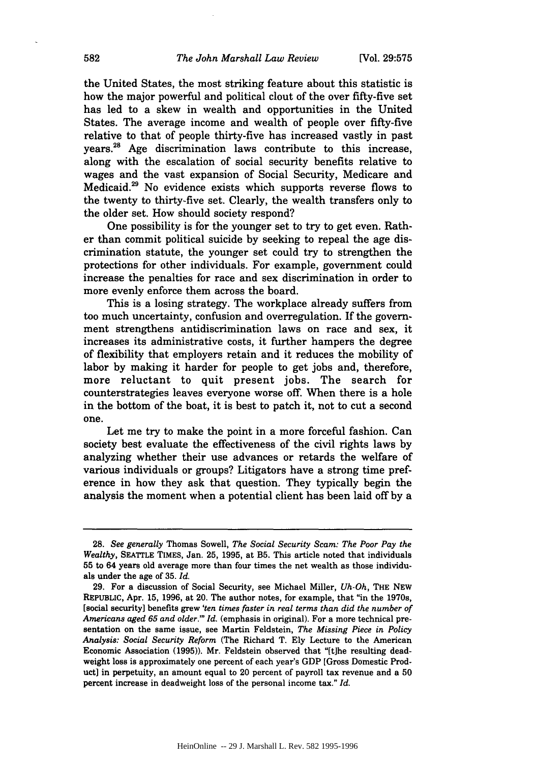the United States, the most striking feature about this statistic is how the major powerful and political clout of the over fifty-five set has led to a skew in wealth and opportunities in the United States. The average income and wealth of people over fifty-five relative to that of people thirty-five has increased vastly in past years.<sup>28</sup> Age discrimination laws contribute to this increase, along with the escalation of social security benefits relative to wages and the vast expansion of Social Security, Medicare and Medicaid. 29 No evidence exists which supports reverse flows to the twenty to thirty-five set. Clearly, the wealth transfers only to the older set. How should society respond?

One possibility is for the younger set to try to get even. Rather than commit political suicide by seeking to repeal the age discrimination statute, the younger set could try to strengthen the protections for other individuals. For example, government could increase the penalties for race and sex discrimination in order to more evenly enforce them across the board.

This is a losing strategy. The workplace already suffers from too much uncertainty, confusion and overregulation. If the government strengthens antidiscrimination laws on race and sex, it increases its administrative costs, it further hampers the degree of flexibility that employers retain and it reduces the mobility of labor by making it harder for people to get jobs and, therefore, more reluctant to quit present jobs. The search for counterstrategies leaves everyone worse off. When there is a hole in the bottom of the boat, it is best to patch it, not to cut a second one.

Let me try to make the point in a more forceful fashion. Can society best evaluate the effectiveness of the civil rights laws by analyzing whether their use advances or retards the welfare of various individuals or groups? Litigators have a strong time preference in how they ask that question. They typically begin the analysis the moment when a potential client has been laid off by a

<sup>28.</sup> *See generally* Thomas Sowell, *The Social Security Scam: The Poor Pay the Wealthy,* SEATTLE TIMES, Jan. **25, 1995,** at B5. This article noted that individuals **55** to 64 years old average more than four times the net wealth as those individuals under the age of 35. *Id.*

<sup>29.</sup> For a discussion of Social Security, see Michael Miller, *Uh-Oh,* THE NEW REPUBLIC, Apr. 15, 1996, at 20. The author notes, for example, that "in the 1970s, [social security] benefits grew *'ten times faster in real terms than did the number of Americans aged 65 and older.'" Id.* (emphasis in original). For a more technical presentation on the same issue, see Martin Feldstein, *The Missing Piece in Policy Analysis: Social Security Reform* (The Richard T. Ely Lecture to the American Economic Association (1995)). Mr. Feldstein observed that "[tihe resulting deadweight loss is approximately one percent of each year's GDP [Gross Domestic Product] in perpetuity, an amount equal to 20 percent of payroll tax revenue and a 50 percent increase in deadweight loss of the personal income tax." *Id.*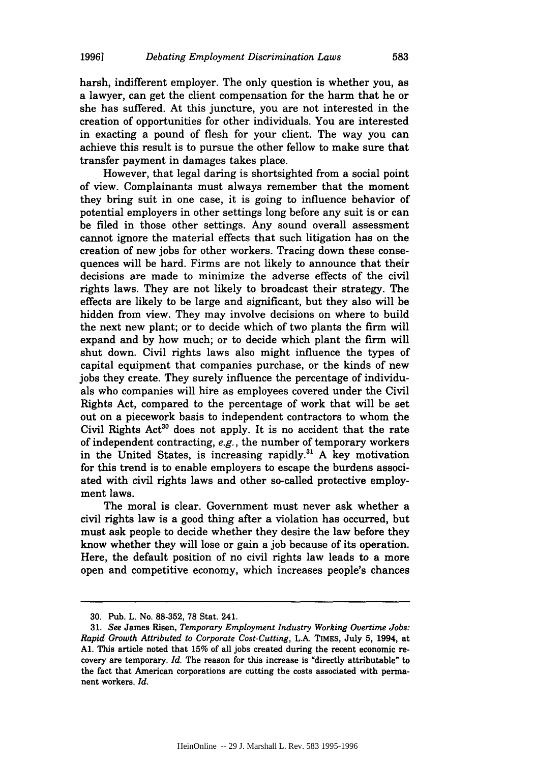harsh, indifferent employer. The only question is whether you, as a lawyer, can get the client compensation for the harm that he or she has suffered. At this juncture, you are not interested in the creation of opportunities for other individuals. You are interested in exacting a pound of flesh for your client. The way you can achieve this result is to pursue the other fellow to make sure that transfer payment in damages takes place.

However, that legal daring is shortsighted from a social point of view. Complainants must always remember that the moment they bring suit in one case, it is going to influence behavior of potential employers in other settings long before any suit is or can be filed in those other settings. Any sound overall assessment cannot ignore the material effects that such litigation has on the creation of new jobs for other workers. Tracing down these consequences will be hard. Firms are not likely to announce that their decisions are made to minimize the adverse effects of the civil rights laws. They are not likely to broadcast their strategy. The effects are likely to be large and significant, but they also will be hidden from view. They may involve decisions on where to build the next new plant; or to decide which of two plants the firm will expand and by how much; or to decide which plant the firm will shut down. Civil rights laws also might influence the types of capital equipment that companies purchase, or the kinds of new jobs they create. They surely influence the percentage of individuals who companies will hire as employees covered under the Civil Rights Act, compared to the percentage of work that will be set out on a piecework basis to independent contractors to whom the Civil Rights  $Act^{30}$  does not apply. It is no accident that the rate of independent contracting, *e.g.,* the number of temporary workers in the United States, is increasing rapidly.<sup>31</sup> A key motivation for this trend is to enable employers to escape the burdens associated with civil rights laws and other so-called protective employment laws.

The moral is clear. Government must never ask whether a civil rights law is a good thing after a violation has occurred, but must ask people to decide whether they desire the law before they know whether they will lose or gain a job because of its operation. Here, the default position of no civil rights law leads to a more open and competitive economy, which increases people's chances

<sup>30.</sup> Pub. L. No. 88-352, 78 Stat. 241.

<sup>31.</sup> *See* James Risen, *Temporary Employment Industry Working Overtime Jobs: Rapid Growth Attributed to Corporate Cost-Cutting,* L.A. TIMES, July 5, 1994, at **Al.** This article noted that 15% of all jobs created during the recent economic recovery are temporary. *Id.* The reason for this increase is "directly attributable" to the fact that American corporations are cutting the costs associated with permanent workers. *Id.*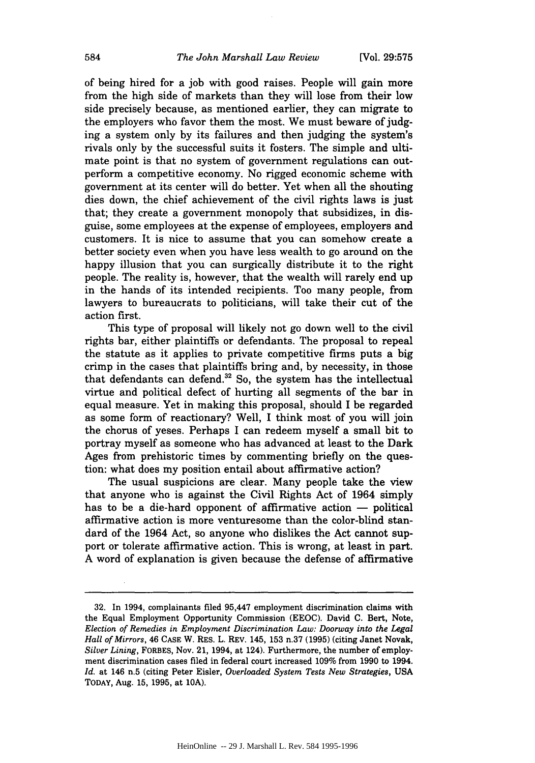of being hired for a job with good raises. People will gain more from the high side of markets than they will lose from their low side precisely because, as mentioned earlier, they can migrate to the employers who favor them the most. We must beware of judging a system only by its failures and then judging the system's rivals only by the successful suits it fosters. The simple and ultimate point is that no system of government regulations can outperform a competitive economy. No rigged economic scheme with government at its center will do better. Yet when all the shouting dies down, the chief achievement of the civil rights laws is just that; they create a government monopoly that subsidizes, in disguise, some employees at the expense of employees, employers and customers. It is nice to assume that you can somehow create a better society even when you have less wealth to go around on the happy illusion that you can surgically distribute it to the right people. The reality is, however, that the wealth will rarely end up in the hands of its intended recipients. Too many people, from lawyers to bureaucrats to politicians, will take their cut of the action first.

This type of proposal will likely not go down well to the civil rights bar, either plaintiffs or defendants. The proposal to repeal the statute as it applies to private competitive firms puts a big crimp in the cases that plaintiffs bring and, by necessity, in those that defendants can defend.<sup>32</sup> So, the system has the intellectual virtue and political defect of hurting all segments of the bar in equal measure. Yet in making this proposal, should I be regarded as some form of reactionary? Well, I think most of you will join the chorus of yeses. Perhaps I can redeem myself a small bit to portray myself as someone who has advanced at least to the Dark Ages from prehistoric times by commenting briefly on the question: what does my position entail about affirmative action?

The usual suspicions are clear. Many people take the view that anyone who is against the Civil Rights Act of 1964 simply has to be a die-hard opponent of affirmative action  $-$  political affirmative action is more venturesome than the color-blind standard of the 1964 Act, so anyone who dislikes the Act cannot support or tolerate affirmative action. This is wrong, at least in part. A word of explanation is given because the defense of affirmative

<sup>32.</sup> In 1994, complainants filed 95,447 employment discrimination claims with the Equal Employment Opportunity Commission (EEOC). David C. Bert, Note, *Election of Remedies in Employment Discrimination Law: Doorway into the Legal Hall of Mirrors,* 46 **CASE** W. RES. L. REV. 145, 153 n.37 (1995) (citing Janet Novak, *Silver Lining,* FORBES, Nov. 21, 1994, at 124). Furthermore, the number of employment discrimination cases filed in federal court increased 109% from 1990 to 1994. *Id.* at 146 n.5 (citing Peter Eisler, *Overloaded System Tests New Strategies,* **USA** TODAY, Aug. 15, 1995, at **10A).**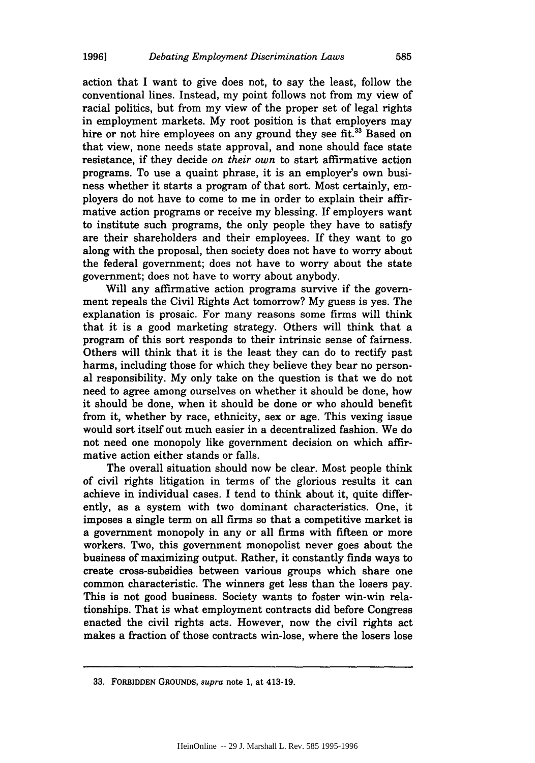action that I want to give does not, to say the least, follow the conventional lines. Instead, my point follows not from my view of racial politics, but from my view of the proper set of legal rights in employment markets. My root position is that employers may hire or not hire employees on any ground they see fit.<sup>33</sup> Based on that view, none needs state approval, and none should face state resistance, if they decide *on their own* to start affirmative action programs. To use a quaint phrase, it is an employer's own business whether it starts a program of that sort. Most certainly, employers do not have to come to me in order to explain their affirmative action programs or receive my blessing. If employers want to institute such programs, the only people they have to satisfy are their shareholders and their employees. If they want to go along with the proposal, then society does not have to worry about the federal government; does not have to worry about the state government; does not have to worry about anybody.

Will any affirmative action programs survive if the government repeals the Civil Rights Act tomorrow? My guess is yes. The explanation is prosaic. For many reasons some firms will think that it is a good marketing strategy. Others will think that a program of this sort responds to their intrinsic sense of fairness. Others will think that it is the least they can do to rectify past harms, including those for which they believe they bear no personal responsibility. My only take on the question is that we do not need to agree among ourselves on whether it should be done, how it should be done, when it should be done or who should benefit from it, whether by race, ethnicity, sex or age. This vexing issue would sort itself out much easier in a decentralized fashion. We do not need one monopoly like government decision on which affirmative action either stands or falls.

The overall situation should now be clear. Most people think of civil rights litigation in terms of the glorious results it can achieve in individual cases. I tend to think about it, quite differently, as a system with two dominant characteristics. One, it imposes a single term on all firms so that a competitive market is a government monopoly in any or all firms with fifteen or more workers. Two, this government monopolist never goes about the business of maximizing output. Rather, it constantly finds ways to create cross-subsidies between various groups which share one common characteristic. The winners get less than the losers pay. This is not good business. Society wants to foster win-win relationships. That is what employment contracts did before Congress enacted the civil rights acts. However, now the civil rights act makes a fraction of those contracts win-lose, where the losers lose

**<sup>33.</sup>** FORBIDDEN **GROUNDS,** *supra* note **1,** at 413-19.